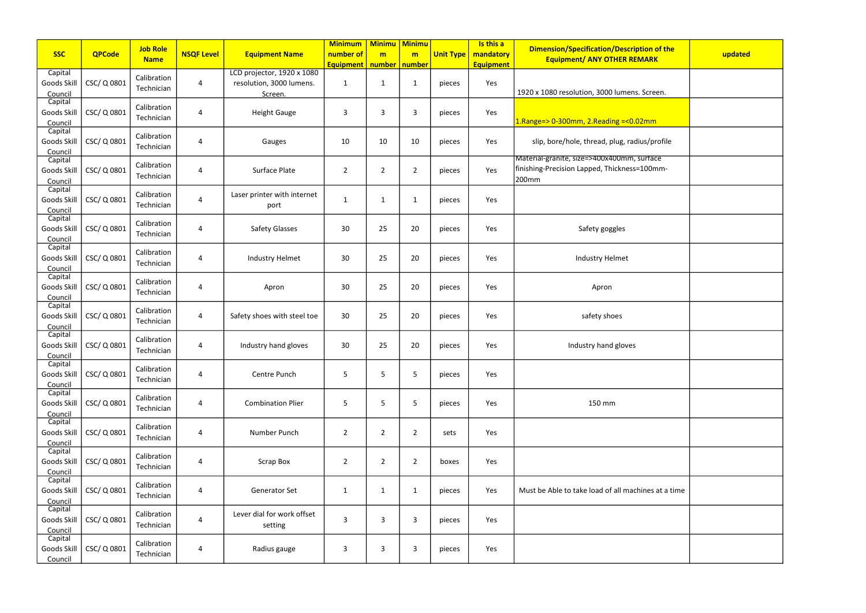| <b>SSC</b>                        | <b>QPCode</b> | <b>Job Role</b>           | <b>NSQF Level</b>       | <b>Equipment Name</b>                                             | <b>Minimum</b><br>number of | <b>Minimu</b><br>m | <b>Minimu</b><br>m | <b>Unit Type</b> | Is this a<br>mandatory | <b>Dimension/Specification/Description of the</b>                                                   | updated |
|-----------------------------------|---------------|---------------------------|-------------------------|-------------------------------------------------------------------|-----------------------------|--------------------|--------------------|------------------|------------------------|-----------------------------------------------------------------------------------------------------|---------|
|                                   |               | <b>Name</b>               |                         |                                                                   | <b>Equipment</b>            | number   number    |                    |                  | <b>Equipment</b>       | <b>Equipment/ ANY OTHER REMARK</b>                                                                  |         |
| Capital<br>Goods Skill<br>Council | CSC/Q0801     | Calibration<br>Technician | 4                       | LCD projector, 1920 x 1080<br>resolution, 3000 lumens.<br>Screen. | 1                           | $\mathbf{1}$       | 1                  | pieces           | Yes                    | 1920 x 1080 resolution, 3000 lumens. Screen.                                                        |         |
| Capital<br>Goods Skill<br>Council | CSC/Q0801     | Calibration<br>Technician | $\overline{4}$          | <b>Height Gauge</b>                                               | 3                           | 3                  | 3                  | pieces           | Yes                    | $1.$ Range=> 0-300mm, 2.Reading =< 0.02mm                                                           |         |
| Capital<br>Goods Skill<br>Council | CSC/Q0801     | Calibration<br>Technician | 4                       | Gauges                                                            | 10                          | 10                 | 10                 | pieces           | Yes                    | slip, bore/hole, thread, plug, radius/profile                                                       |         |
| Capital<br>Goods Skill<br>Council | CSC/Q0801     | Calibration<br>Technician | 4                       | Surface Plate                                                     | $\overline{2}$              | $\overline{2}$     | $\overline{2}$     | pieces           | Yes                    | Material-granite, size=>400x400mm, surface<br>finishing-Precision Lapped, Thickness=100mm-<br>200mm |         |
| Capital<br>Goods Skill<br>Council | CSC/Q0801     | Calibration<br>Technician | $\overline{4}$          | Laser printer with internet<br>port                               | 1                           | $\mathbf{1}$       | 1                  | pieces           | Yes                    |                                                                                                     |         |
| Capital<br>Goods Skill<br>Council | CSC/Q0801     | Calibration<br>Technician | 4                       | <b>Safety Glasses</b>                                             | 30                          | 25                 | 20                 | pieces           | Yes                    | Safety goggles                                                                                      |         |
| Capital<br>Goods Skill<br>Council | CSC/Q0801     | Calibration<br>Technician | $\overline{a}$          | Industry Helmet                                                   | 30                          | 25                 | 20                 | pieces           | Yes                    | Industry Helmet                                                                                     |         |
| Capital<br>Goods Skill<br>Council | CSC/Q0801     | Calibration<br>Technician | $\overline{4}$          | Apron                                                             | 30                          | 25                 | 20                 | pieces           | Yes                    | Apron                                                                                               |         |
| Capital<br>Goods Skill<br>Council | CSC/Q0801     | Calibration<br>Technician | 4                       | Safety shoes with steel toe                                       | 30                          | 25                 | 20                 | pieces           | Yes                    | safety shoes                                                                                        |         |
| Capital<br>Goods Skill<br>Council | CSC/Q0801     | Calibration<br>Technician | 4                       | Industry hand gloves                                              | 30                          | 25                 | 20                 | pieces           | Yes                    | Industry hand gloves                                                                                |         |
| Capital<br>Goods Skill<br>Council | CSC/Q0801     | Calibration<br>Technician | $\overline{a}$          | Centre Punch                                                      | 5                           | 5                  | 5                  | pieces           | Yes                    |                                                                                                     |         |
| Capital<br>Goods Skill<br>Council | CSC/Q0801     | Calibration<br>Technician | 4                       | <b>Combination Plier</b>                                          | 5                           | 5                  | 5                  | pieces           | Yes                    | 150 mm                                                                                              |         |
| Capital<br>Goods Skill<br>Council | CSC/Q0801     | Calibration<br>Technician | $\overline{a}$          | Number Punch                                                      | $\overline{2}$              | $\overline{2}$     | $\overline{2}$     | sets             | Yes                    |                                                                                                     |         |
| Capital<br>Goods Skill<br>Council | CSC/Q0801     | Calibration<br>Technician | $\overline{\mathbf{4}}$ | <b>Scrap Box</b>                                                  | $\overline{2}$              | $\overline{2}$     | $\overline{2}$     | boxes            | Yes                    |                                                                                                     |         |
| Capital<br>Goods Skill<br>Council | CSC/Q0801     | Calibration<br>Technician | 4                       | Generator Set                                                     | $\mathbf{1}$                | $\mathbf{1}$       | 1                  | pieces           | Yes                    | Must be Able to take load of all machines at a time                                                 |         |
| Capital<br>Goods Skill<br>Council | CSC/Q0801     | Calibration<br>Technician | $\overline{4}$          | Lever dial for work offset<br>setting                             | 3                           | 3                  | 3                  | pieces           | Yes                    |                                                                                                     |         |
| Capital<br>Goods Skill<br>Council | CSC/Q0801     | Calibration<br>Technician | 4                       | Radius gauge                                                      | 3                           | $\overline{3}$     | 3                  | pieces           | Yes                    |                                                                                                     |         |

| /Description of the<br><b>HER REMARK</b> | updated |
|------------------------------------------|---------|
| lumens. Screen.                          |         |
|                                          |         |
| <mark>าg =&lt;0.02mm</mark>              |         |
| lug, radius/profile                      |         |
| 00mm, surtace<br>ickness=100mm-          |         |
|                                          |         |
| gles                                     |         |
| Imet                                     |         |
|                                          |         |
| es                                       |         |
| gloves                                   |         |
|                                          |         |
| ٦                                        |         |
|                                          |         |
|                                          |         |
| all machines at a time                   |         |
|                                          |         |
|                                          |         |
|                                          |         |